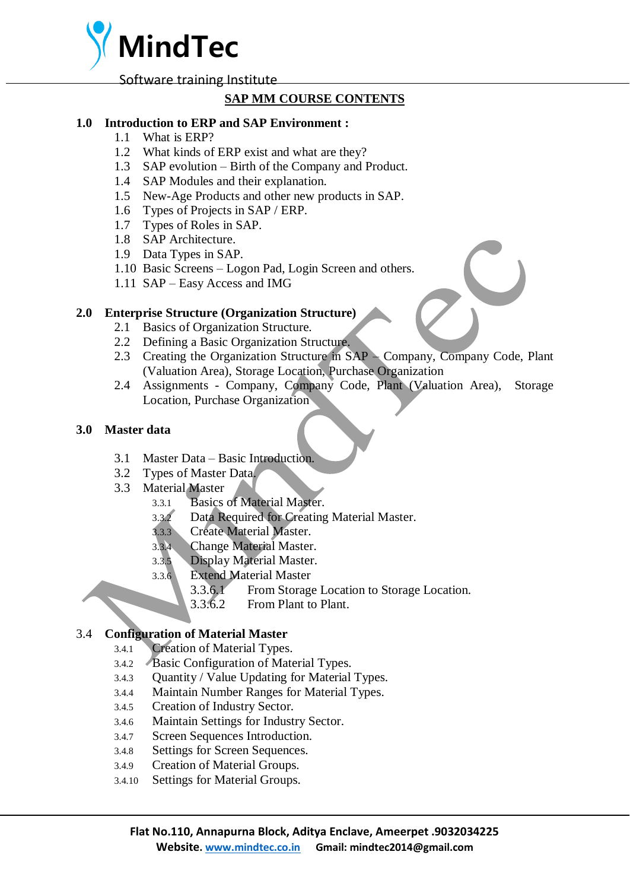**MindTec**

Software training Institute

# **SAP MM COURSE CONTENTS**

#### **1.0 Introduction to ERP and SAP Environment :**

- 1.1 What is ERP?
- 1.2 What kinds of ERP exist and what are they?
- 1.3 SAP evolution Birth of the Company and Product.
- 1.4 SAP Modules and their explanation.
- 1.5 New-Age Products and other new products in SAP.
- 1.6 Types of Projects in SAP / ERP.
- 1.7 Types of Roles in SAP.
- 1.8 SAP Architecture.
- 1.9 Data Types in SAP.
- 1.10 Basic Screens Logon Pad, Login Screen and others.
- 1.11 SAP Easy Access and IMG

#### **2.0 Enterprise Structure (Organization Structure)**

- 2.1 Basics of Organization Structure.
- 2.2 Defining a Basic Organization Structure.
- 2.3 Creating the Organization Structure in SAP Company, Company Code, Plant (Valuation Area), Storage Location, Purchase Organization
- 2.4 Assignments Company, Company Code, Plant (Valuation Area), Storage Location, Purchase Organization

#### **3.0 Master data**

- 3.1 Master Data Basic Introduction.
- 3.2 Types of Master Data.
- 3.3 Material Master
	- 3.3.1 Basics of Material Master.
	- 3.3.2 Data Required for Creating Material Master.
	- 3.3.3 Create Material Master.
	- 3.3.4 Change Material Master.
	- 3.3.5 Display Material Master.
	- 3.3.6 Extend Material Master
		- 3.3.6.1 From Storage Location to Storage Location.
		- 3.3.6.2 From Plant to Plant.

# 3.4 **Configuration of Material Master**

- 3.4.1 Creation of Material Types.
- 3.4.2 Basic Configuration of Material Types.
- 3.4.3 Quantity / Value Updating for Material Types.
- 3.4.4 Maintain Number Ranges for Material Types.
- 3.4.5 Creation of Industry Sector.
- 3.4.6 Maintain Settings for Industry Sector.
- 3.4.7 Screen Sequences Introduction.
- 3.4.8 Settings for Screen Sequences.
- 3.4.9 Creation of Material Groups.
- 3.4.10 Settings for Material Groups.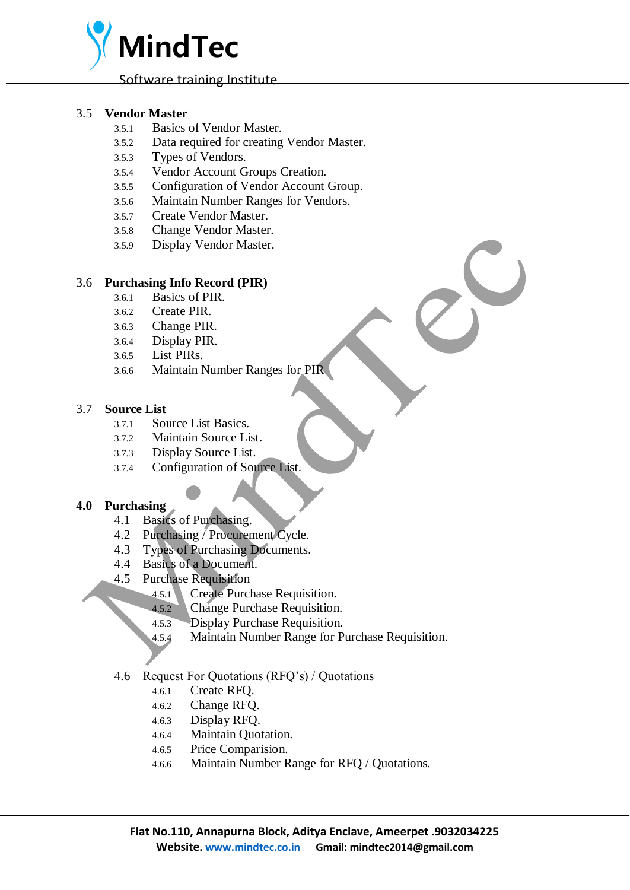

#### 3.5 **Vendor Master**

- 3.5.1 Basics of Vendor Master.
- 3.5.2 Data required for creating Vendor Master.
- 3.5.3 Types of Vendors.
- 3.5.4 Vendor Account Groups Creation.
- 3.5.5 Configuration of Vendor Account Group.
- 3.5.6 Maintain Number Ranges for Vendors.
- 3.5.7 Create Vendor Master.
- 3.5.8 Change Vendor Master.
- 3.5.9 Display Vendor Master.

#### 3.6 **Purchasing Info Record (PIR)**

- 3.6.1 Basics of PIR.
- 3.6.2 Create PIR.
- 3.6.3 Change PIR.
- 3.6.4 Display PIR.
- 3.6.5 List PIRs.
- 3.6.6 Maintain Number Ranges for PIR

#### 3.7 **Source List**

- 3.7.1 Source List Basics.
- 3.7.2 Maintain Source List.
- 3.7.3 Display Source List.
- 3.7.4 Configuration of Source List.

# **4.0 Purchasing**

- 4.1 Basics of Purchasing.
- 4.2 Purchasing / Procurement Cycle.
- 4.3 Types of Purchasing Documents.
- 4.4 Basics of a Document.
- 4.5 Purchase Requisition
	- 4.5.1 Create Purchase Requisition.
	- 4.5.2 Change Purchase Requisition.
	- 4.5.3 Display Purchase Requisition.
	- 4.5.4 Maintain Number Range for Purchase Requisition.
- 4.6 Request For Quotations (RFQ's) / Quotations
	- 4.6.1 Create RFQ.
	- 4.6.2 Change RFQ.
	- 4.6.3 Display RFQ.
	- 4.6.4 Maintain Quotation.
	- 4.6.5 Price Comparision.
	- 4.6.6 Maintain Number Range for RFQ / Quotations.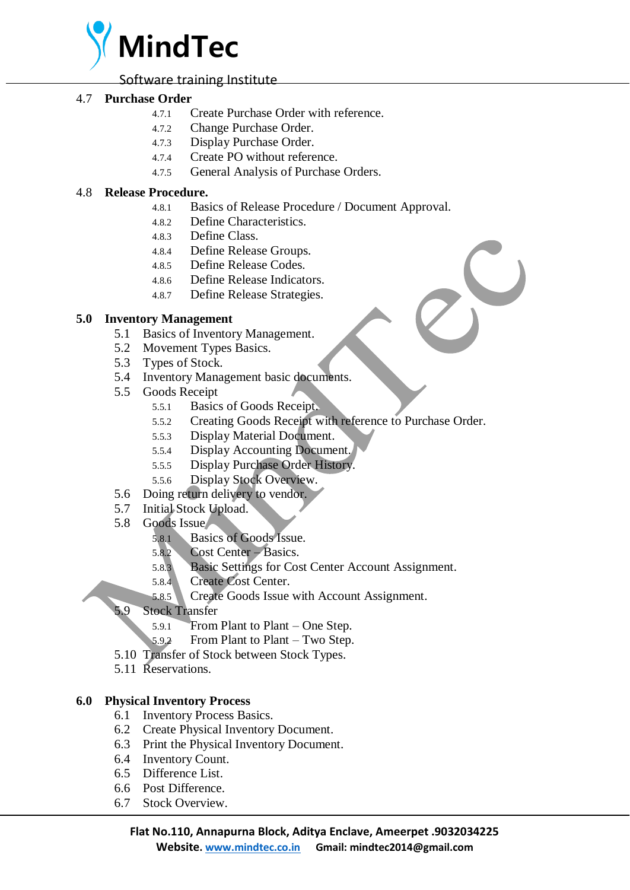

Software training Institute

## 4.7 **Purchase Order**

- 4.7.1 Create Purchase Order with reference.
- 4.7.2 Change Purchase Order.
- 4.7.3 Display Purchase Order.
- 4.7.4 Create PO without reference.
- 4.7.5 General Analysis of Purchase Orders.

## 4.8 **Release Procedure.**

- 4.8.1 Basics of Release Procedure / Document Approval.
- 4.8.2 Define Characteristics.
- 4.8.3 Define Class.
- 4.8.4 Define Release Groups.
- 4.8.5 Define Release Codes.
- 4.8.6 Define Release Indicators.
- 4.8.7 Define Release Strategies.

#### **5.0 Inventory Management**

- 5.1 Basics of Inventory Management.
- 5.2 Movement Types Basics.
- 5.3 Types of Stock.
- 5.4 Inventory Management basic documents.
- 5.5 Goods Receipt
	- 5.5.1 Basics of Goods Receipt.
	- 5.5.2 Creating Goods Receipt with reference to Purchase Order.
	- 5.5.3 Display Material Document.
	- 5.5.4 Display Accounting Document.
	- 5.5.5 Display Purchase Order History.
	- 5.5.6 Display Stock Overview.
- 5.6 Doing return delivery to vendor.
- 5.7 Initial Stock Upload.
- 5.8 Goods Issue
	- 5.8.1 Basics of Goods Issue.
	- 5.8.2 Cost Center Basics.
	- 5.8.3 Basic Settings for Cost Center Account Assignment.
	- 5.8.4 Create Cost Center.
	- 5.8.5 Create Goods Issue with Account Assignment.
- 5.9 Stock Transfer
	- 5.9.1 From Plant to Plant One Step.
	- 5.9.2 From Plant to Plant Two Step.
- 5.10 Transfer of Stock between Stock Types.
- 5.11 Reservations.

#### **6.0 Physical Inventory Process**

- 6.1 Inventory Process Basics.
- 6.2 Create Physical Inventory Document.
- 6.3 Print the Physical Inventory Document.
- 6.4 Inventory Count.
- 6.5 Difference List.
- 6.6 Post Difference.
- 6.7 Stock Overview.